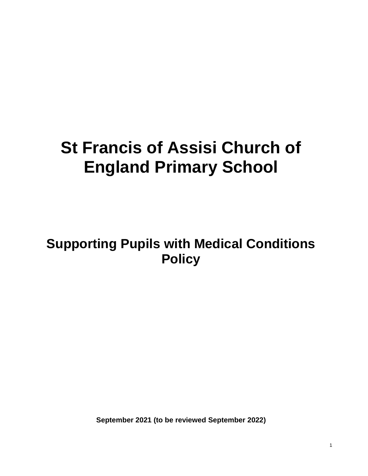# **St Francis of Assisi Church of England Primary School**

# **Supporting Pupils with Medical Conditions Policy**

**September 2021 (to be reviewed September 2022)**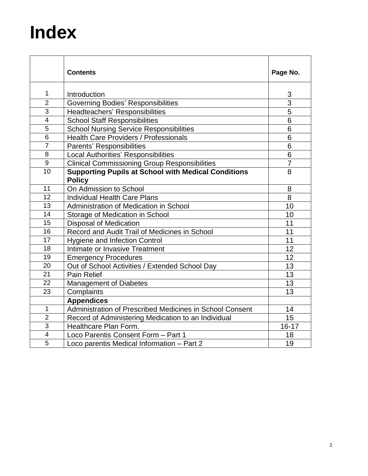# **Index**

|                | <b>Contents</b>                                                             |                |  |  |  |
|----------------|-----------------------------------------------------------------------------|----------------|--|--|--|
| $\mathbf{1}$   | Introduction                                                                | 3              |  |  |  |
| $\overline{2}$ | <b>Governing Bodies' Responsibilities</b>                                   | $\overline{3}$ |  |  |  |
| 3              | Headteachers' Responsibilities                                              | $\overline{5}$ |  |  |  |
| 4              | <b>School Staff Responsibilities</b>                                        | 6              |  |  |  |
| 5              | <b>School Nursing Service Responsibilities</b>                              | $\overline{6}$ |  |  |  |
| $6\phantom{1}$ | <b>Health Care Providers / Professionals</b>                                | 6              |  |  |  |
| $\overline{7}$ | <b>Parents' Responsibilities</b>                                            | 6              |  |  |  |
| 8              | Local Authorities' Responsibilities                                         | 6              |  |  |  |
| 9              | <b>Clinical Commissioning Group Responsibilities</b>                        | $\overline{7}$ |  |  |  |
| 10             | <b>Supporting Pupils at School with Medical Conditions</b><br><b>Policy</b> | 8              |  |  |  |
| 11             | On Admission to School                                                      | 8              |  |  |  |
| 12             | <b>Individual Health Care Plans</b>                                         | 8              |  |  |  |
| 13             | Administration of Medication in School                                      | 10             |  |  |  |
| 14             | Storage of Medication in School                                             | 10             |  |  |  |
| 15             | <b>Disposal of Medication</b>                                               | 11             |  |  |  |
| 16             | Record and Audit Trail of Medicines in School                               | 11             |  |  |  |
| 17             | <b>Hygiene and Infection Control</b>                                        | 11             |  |  |  |
| 18             | Intimate or Invasive Treatment                                              | 12             |  |  |  |
| 19             | <b>Emergency Procedures</b>                                                 | 12             |  |  |  |
| 20             | Out of School Activities / Extended School Day                              | 13             |  |  |  |
| 21             | <b>Pain Relief</b>                                                          | 13             |  |  |  |
| 22             | <b>Management of Diabetes</b>                                               | 13             |  |  |  |
| 23             | Complaints                                                                  | 13             |  |  |  |
|                | <b>Appendices</b>                                                           |                |  |  |  |
| $\mathbf{1}$   | Administration of Prescribed Medicines in School Consent                    | 14             |  |  |  |
| $\overline{2}$ | Record of Administering Medication to an Individual                         | 15             |  |  |  |
| 3              | Healthcare Plan Form.                                                       | $16 - 17$      |  |  |  |
| $\overline{4}$ | Loco Parentis Consent Form - Part 1                                         | 18             |  |  |  |
| 5              | Loco parentis Medical Information - Part 2                                  | 19             |  |  |  |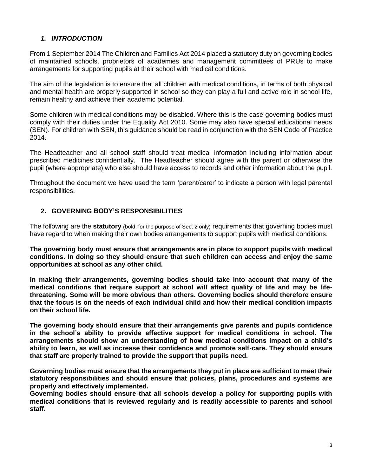#### *1. INTRODUCTION*

From 1 September 2014 The Children and Families Act 2014 placed a statutory duty on governing bodies of maintained schools, proprietors of academies and management committees of PRUs to make arrangements for supporting pupils at their school with medical conditions.

The aim of the legislation is to ensure that all children with medical conditions, in terms of both physical and mental health are properly supported in school so they can play a full and active role in school life, remain healthy and achieve their academic potential.

Some children with medical conditions may be disabled. Where this is the case governing bodies must comply with their duties under the Equality Act 2010. Some may also have special educational needs (SEN). For children with SEN, this guidance should be read in conjunction with the SEN Code of Practice 2014.

The Headteacher and all school staff should treat medical information including information about prescribed medicines confidentially. The Headteacher should agree with the parent or otherwise the pupil (where appropriate) who else should have access to records and other information about the pupil.

Throughout the document we have used the term 'parent/carer' to indicate a person with legal parental responsibilities.

#### **2. GOVERNING BODY'S RESPONSIBILITIES**

The following are the **statutory** (bold, for the purpose of Sect 2 only) requirements that governing bodies must have regard to when making their own bodies arrangements to support pupils with medical conditions.

**The governing body must ensure that arrangements are in place to support pupils with medical conditions. In doing so they should ensure that such children can access and enjoy the same opportunities at school as any other child.** 

**In making their arrangements, governing bodies should take into account that many of the medical conditions that require support at school will affect quality of life and may be lifethreatening. Some will be more obvious than others. Governing bodies should therefore ensure that the focus is on the needs of each individual child and how their medical condition impacts on their school life.** 

**The governing body should ensure that their arrangements give parents and pupils confidence in the school's ability to provide effective support for medical conditions in school. The arrangements should show an understanding of how medical conditions impact on a child's ability to learn, as well as increase their confidence and promote self-care. They should ensure that staff are properly trained to provide the support that pupils need.** 

**Governing bodies must ensure that the arrangements they put in place are sufficient to meet their statutory responsibilities and should ensure that policies, plans, procedures and systems are properly and effectively implemented.** 

**Governing bodies should ensure that all schools develop a policy for supporting pupils with medical conditions that is reviewed regularly and is readily accessible to parents and school staff.**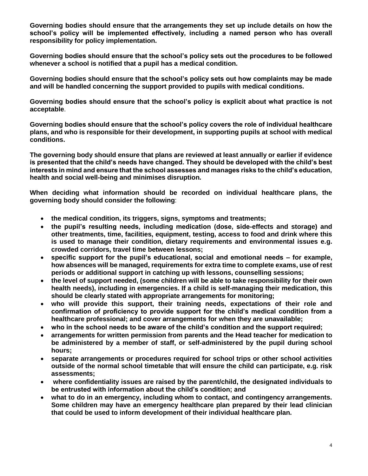**Governing bodies should ensure that the arrangements they set up include details on how the school's policy will be implemented effectively, including a named person who has overall responsibility for policy implementation.**

**Governing bodies should ensure that the school's policy sets out the procedures to be followed whenever a school is notified that a pupil has a medical condition.** 

**Governing bodies should ensure that the school's policy sets out how complaints may be made and will be handled concerning the support provided to pupils with medical conditions.** 

**Governing bodies should ensure that the school's policy is explicit about what practice is not acceptable**.

**Governing bodies should ensure that the school's policy covers the role of individual healthcare plans, and who is responsible for their development, in supporting pupils at school with medical conditions.** 

**The governing body should ensure that plans are reviewed at least annually or earlier if evidence is presented that the child's needs have changed. They should be developed with the child's best interests in mind and ensure that the school assesses and manages risks to the child's education, health and social well-being and minimises disruption.** 

**When deciding what information should be recorded on individual healthcare plans, the governing body should consider the following**:

- **the medical condition, its triggers, signs, symptoms and treatments;**
- **the pupil's resulting needs, including medication (dose, side-effects and storage) and other treatments, time, facilities, equipment, testing, access to food and drink where this is used to manage their condition, dietary requirements and environmental issues e.g. crowded corridors, travel time between lessons;**
- **specific support for the pupil's educational, social and emotional needs – for example, how absences will be managed, requirements for extra time to complete exams, use of rest periods or additional support in catching up with lessons, counselling sessions;**
- **the level of support needed, (some children will be able to take responsibility for their own health needs), including in emergencies. If a child is self-managing their medication, this should be clearly stated with appropriate arrangements for monitoring;**
- **who will provide this support, their training needs, expectations of their role and confirmation of proficiency to provide support for the child's medical condition from a healthcare professional; and cover arrangements for when they are unavailable;**
- **who in the school needs to be aware of the child's condition and the support required;**
- **arrangements for written permission from parents and the Head teacher for medication to be administered by a member of staff, or self-administered by the pupil during school hours;**
- **separate arrangements or procedures required for school trips or other school activities outside of the normal school timetable that will ensure the child can participate, e.g. risk assessments;**
- **where confidentiality issues are raised by the parent/child, the designated individuals to be entrusted with information about the child's condition; and**
- **what to do in an emergency, including whom to contact, and contingency arrangements. Some children may have an emergency healthcare plan prepared by their lead clinician that could be used to inform development of their individual healthcare plan.**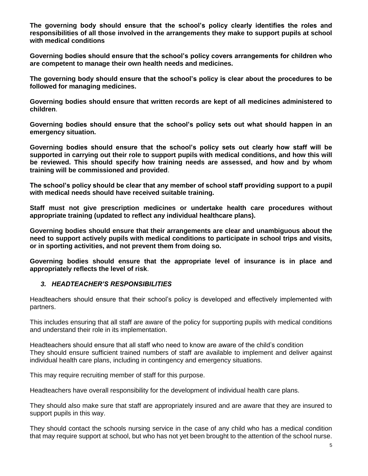**The governing body should ensure that the school's policy clearly identifies the roles and responsibilities of all those involved in the arrangements they make to support pupils at school with medical conditions** 

**Governing bodies should ensure that the school's policy covers arrangements for children who are competent to manage their own health needs and medicines.** 

**The governing body should ensure that the school's policy is clear about the procedures to be followed for managing medicines.** 

**Governing bodies should ensure that written records are kept of all medicines administered to children**.

**Governing bodies should ensure that the school's policy sets out what should happen in an emergency situation.** 

**Governing bodies should ensure that the school's policy sets out clearly how staff will be supported in carrying out their role to support pupils with medical conditions, and how this will be reviewed. This should specify how training needs are assessed, and how and by whom training will be commissioned and provided**.

**The school's policy should be clear that any member of school staff providing support to a pupil with medical needs should have received suitable training.** 

**Staff must not give prescription medicines or undertake health care procedures without appropriate training (updated to reflect any individual healthcare plans).** 

**Governing bodies should ensure that their arrangements are clear and unambiguous about the need to support actively pupils with medical conditions to participate in school trips and visits, or in sporting activities, and not prevent them from doing so.** 

**Governing bodies should ensure that the appropriate level of insurance is in place and appropriately reflects the level of risk**.

#### *3. HEADTEACHER'S RESPONSIBILITIES*

Headteachers should ensure that their school's policy is developed and effectively implemented with partners.

This includes ensuring that all staff are aware of the policy for supporting pupils with medical conditions and understand their role in its implementation.

Headteachers should ensure that all staff who need to know are aware of the child's condition They should ensure sufficient trained numbers of staff are available to implement and deliver against individual health care plans, including in contingency and emergency situations.

This may require recruiting member of staff for this purpose.

Headteachers have overall responsibility for the development of individual health care plans.

They should also make sure that staff are appropriately insured and are aware that they are insured to support pupils in this way.

They should contact the schools nursing service in the case of any child who has a medical condition that may require support at school, but who has not yet been brought to the attention of the school nurse.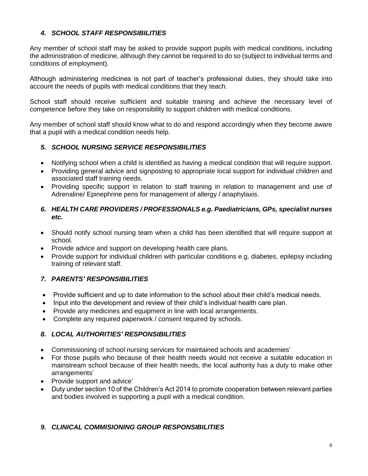#### *4. SCHOOL STAFF RESPONSIBILITIES*

Any member of school staff may be asked to provide support pupils with medical conditions, including the administration of medicine, although they cannot be required to do so (subject to individual terms and conditions of employment).

Although administering medicines is not part of teacher's professional duties, they should take into account the needs of pupils with medical conditions that they teach.

School staff should receive sufficient and suitable training and achieve the necessary level of competence before they take on responsibility to support children with medical conditions.

Any member of school staff should know what to do and respond accordingly when they become aware that a pupil with a medical condition needs help.

#### *5. SCHOOL NURSING SERVICE RESPONSIBILITIES*

- Notifying school when a child is identified as having a medical condition that will require support.
- Providing general advice and signposting to appropriate local support for individual children and associated staff training needs.
- Providing specific support in relation to staff training in relation to management and use of Adrenaline/ Epinephrine pens for management of allergy / anaphylaxis.

#### *6. HEALTH CARE PROVIDERS / PROFESSIONALS e.g. Paediatricians, GPs, specialist nurses etc.*

- Should notify school nursing team when a child has been identified that will require support at school.
- Provide advice and support on developing health care plans.
- Provide support for individual children with particular conditions e.g. diabetes, epilepsy including training of relevant staff.

#### *7. PARENTS' RESPONSIBILITIES*

- Provide sufficient and up to date information to the school about their child's medical needs.
- Input into the development and review of their child's individual health care plan.
- Provide any medicines and equipment in line with local arrangements.
- Complete any required paperwork / consent required by schools.

#### *8. LOCAL AUTHORITIES' RESPONSIBILITIES*

- Commissioning of school nursing services for maintained schools and academies'
- For those pupils who because of their health needs would not receive a suitable education in mainstream school because of their health needs, the local authority has a duty to make other arrangements'
- Provide support and advice'
- Duty under section 10 of the Children's Act 2014 to promote cooperation between relevant parties and bodies involved in supporting a pupil with a medical condition.

#### *9. CLINICAL COMMISIONING GROUP RESPONSIBILITIES*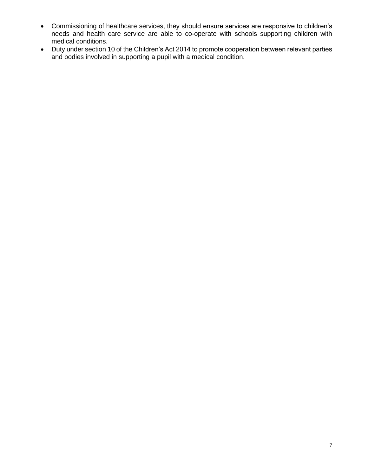- Commissioning of healthcare services, they should ensure services are responsive to children's needs and health care service are able to co-operate with schools supporting children with medical conditions.
- Duty under section 10 of the Children's Act 2014 to promote cooperation between relevant parties and bodies involved in supporting a pupil with a medical condition.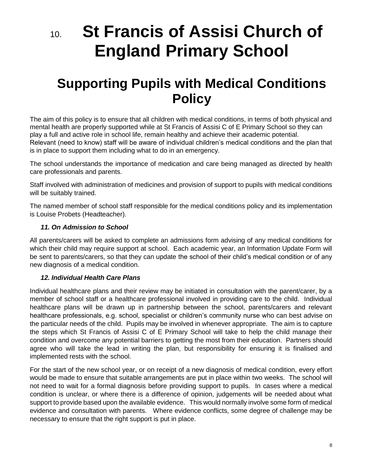# 10. **St Francis of Assisi Church of England Primary School**

## **Supporting Pupils with Medical Conditions Policy**

The aim of this policy is to ensure that all children with medical conditions, in terms of both physical and mental health are properly supported while at St Francis of Assisi C of E Primary School so they can play a full and active role in school life, remain healthy and achieve their academic potential. Relevant (need to know) staff will be aware of individual children's medical conditions and the plan that is in place to support them including what to do in an emergency.

The school understands the importance of medication and care being managed as directed by health care professionals and parents.

Staff involved with administration of medicines and provision of support to pupils with medical conditions will be suitably trained.

The named member of school staff responsible for the medical conditions policy and its implementation is Louise Probets (Headteacher).

#### *11. On Admission to School*

All parents/carers will be asked to complete an admissions form advising of any medical conditions for which their child may require support at school. Each academic year, an Information Update Form will be sent to parents/carers, so that they can update the school of their child's medical condition or of any new diagnosis of a medical condition.

#### *12. Individual Health Care Plans*

Individual healthcare plans and their review may be initiated in consultation with the parent/carer, by a member of school staff or a healthcare professional involved in providing care to the child. Individual healthcare plans will be drawn up in partnership between the school, parents/carers and relevant healthcare professionals, e.g. school, specialist or children's community nurse who can best advise on the particular needs of the child. Pupils may be involved in whenever appropriate. The aim is to capture the steps which St Francis of Assisi C of E Primary School will take to help the child manage their condition and overcome any potential barriers to getting the most from their education. Partners should agree who will take the lead in writing the plan, but responsibility for ensuring it is finalised and implemented rests with the school.

For the start of the new school year, or on receipt of a new diagnosis of medical condition, every effort would be made to ensure that suitable arrangements are put in place within two weeks. The school will not need to wait for a formal diagnosis before providing support to pupils. In cases where a medical condition is unclear, or where there is a difference of opinion, judgements will be needed about what support to provide based upon the available evidence. This would normally involve some form of medical evidence and consultation with parents. Where evidence conflicts, some degree of challenge may be necessary to ensure that the right support is put in place.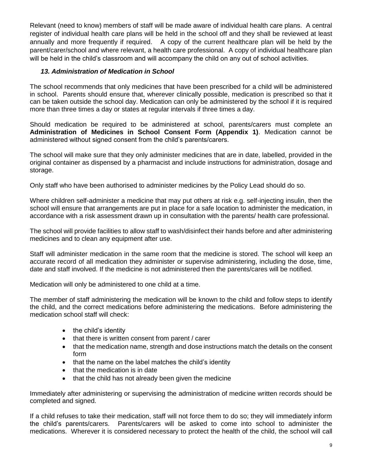Relevant (need to know) members of staff will be made aware of individual health care plans. A central register of individual health care plans will be held in the school off and they shall be reviewed at least annually and more frequently if required. A copy of the current healthcare plan will be held by the parent/carer/school and where relevant, a health care professional. A copy of individual healthcare plan will be held in the child's classroom and will accompany the child on any out of school activities.

#### *13. Administration of Medication in School*

The school recommends that only medicines that have been prescribed for a child will be administered in school. Parents should ensure that, wherever clinically possible, medication is prescribed so that it can be taken outside the school day. Medication can only be administered by the school if it is required more than three times a day or states at regular intervals if three times a day.

Should medication be required to be administered at school, parents/carers must complete an **Administration of Medicines in School Consent Form (Appendix 1)**. Medication cannot be administered without signed consent from the child's parents/carers.

The school will make sure that they only administer medicines that are in date, labelled, provided in the original container as dispensed by a pharmacist and include instructions for administration, dosage and storage.

Only staff who have been authorised to administer medicines by the Policy Lead should do so.

Where children self-administer a medicine that may put others at risk e.g. self-injecting insulin, then the school will ensure that arrangements are put in place for a safe location to administer the medication, in accordance with a risk assessment drawn up in consultation with the parents/ health care professional.

The school will provide facilities to allow staff to wash/disinfect their hands before and after administering medicines and to clean any equipment after use.

Staff will administer medication in the same room that the medicine is stored. The school will keep an accurate record of all medication they administer or supervise administering, including the dose, time, date and staff involved. If the medicine is not administered then the parents/cares will be notified.

Medication will only be administered to one child at a time.

The member of staff administering the medication will be known to the child and follow steps to identify the child, and the correct medications before administering the medications. Before administering the medication school staff will check:

- the child's identity
- that there is written consent from parent / carer
- that the medication name, strength and dose instructions match the details on the consent form
- that the name on the label matches the child's identity
- that the medication is in date
- that the child has not already been given the medicine

Immediately after administering or supervising the administration of medicine written records should be completed and signed.

If a child refuses to take their medication, staff will not force them to do so; they will immediately inform the child's parents/carers. Parents/carers will be asked to come into school to administer the medications. Wherever it is considered necessary to protect the health of the child, the school will call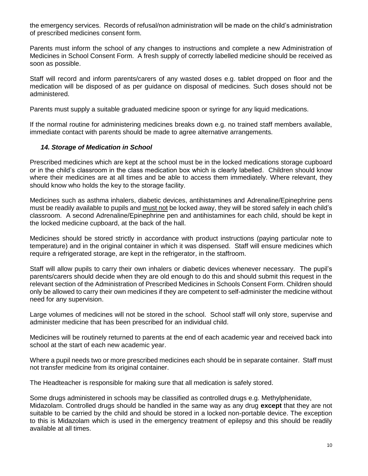the emergency services. Records of refusal/non administration will be made on the child's administration of prescribed medicines consent form.

Parents must inform the school of any changes to instructions and complete a new Administration of Medicines in School Consent Form. A fresh supply of correctly labelled medicine should be received as soon as possible.

Staff will record and inform parents/carers of any wasted doses e.g. tablet dropped on floor and the medication will be disposed of as per guidance on disposal of medicines. Such doses should not be administered.

Parents must supply a suitable graduated medicine spoon or syringe for any liquid medications.

If the normal routine for administering medicines breaks down e.g. no trained staff members available, immediate contact with parents should be made to agree alternative arrangements.

#### *14. Storage of Medication in School*

Prescribed medicines which are kept at the school must be in the locked medications storage cupboard or in the child's classroom in the class medication box which is clearly labelled. Children should know where their medicines are at all times and be able to access them immediately. Where relevant, they should know who holds the key to the storage facility.

Medicines such as asthma inhalers, diabetic devices, antihistamines and Adrenaline/Epinephrine pens must be readily available to pupils and must not be locked away, they will be stored safely in each child's classroom. A second Adrenaline/Epinephrine pen and antihistamines for each child, should be kept in the locked medicine cupboard, at the back of the hall.

Medicines should be stored strictly in accordance with product instructions (paying particular note to temperature) and in the original container in which it was dispensed. Staff will ensure medicines which require a refrigerated storage, are kept in the refrigerator, in the staffroom.

Staff will allow pupils to carry their own inhalers or diabetic devices whenever necessary. The pupil's parents/carers should decide when they are old enough to do this and should submit this request in the relevant section of the Administration of Prescribed Medicines in Schools Consent Form. Children should only be allowed to carry their own medicines if they are competent to self-administer the medicine without need for any supervision.

Large volumes of medicines will not be stored in the school. School staff will only store, supervise and administer medicine that has been prescribed for an individual child.

Medicines will be routinely returned to parents at the end of each academic year and received back into school at the start of each new academic year.

Where a pupil needs two or more prescribed medicines each should be in separate container. Staff must not transfer medicine from its original container.

The Headteacher is responsible for making sure that all medication is safely stored.

Some drugs administered in schools may be classified as controlled drugs e.g. Methylphenidate, Midazolam. Controlled drugs should be handled in the same way as any drug **except** that they are not suitable to be carried by the child and should be stored in a locked non-portable device. The exception to this is Midazolam which is used in the emergency treatment of epilepsy and this should be readily available at all times.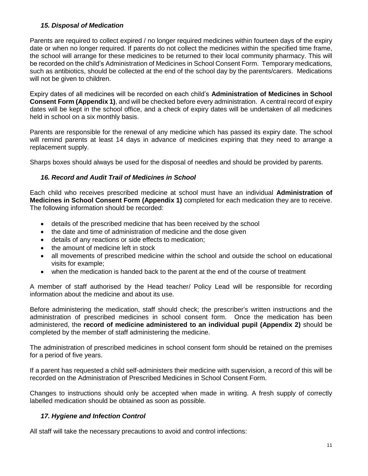#### *15. Disposal of Medication*

Parents are required to collect expired / no longer required medicines within fourteen days of the expiry date or when no longer required. If parents do not collect the medicines within the specified time frame, the school will arrange for these medicines to be returned to their local community pharmacy. This will be recorded on the child's Administration of Medicines in School Consent Form. Temporary medications, such as antibiotics, should be collected at the end of the school day by the parents/carers. Medications will not be given to children.

Expiry dates of all medicines will be recorded on each child's **Administration of Medicines in School Consent Form (Appendix 1)**, and will be checked before every administration. A central record of expiry dates will be kept in the school office, and a check of expiry dates will be undertaken of all medicines held in school on a six monthly basis.

Parents are responsible for the renewal of any medicine which has passed its expiry date. The school will remind parents at least 14 days in advance of medicines expiring that they need to arrange a replacement supply.

Sharps boxes should always be used for the disposal of needles and should be provided by parents.

#### *16. Record and Audit Trail of Medicines in School*

Each child who receives prescribed medicine at school must have an individual **Administration of Medicines in School Consent Form (Appendix 1)** completed for each medication they are to receive. The following information should be recorded:

- details of the prescribed medicine that has been received by the school
- the date and time of administration of medicine and the dose given
- details of any reactions or side effects to medication;
- the amount of medicine left in stock
- all movements of prescribed medicine within the school and outside the school on educational visits for example;
- when the medication is handed back to the parent at the end of the course of treatment

A member of staff authorised by the Head teacher/ Policy Lead will be responsible for recording information about the medicine and about its use.

Before administering the medication, staff should check; the prescriber's written instructions and the administration of prescribed medicines in school consent form. Once the medication has been administered, the **record of medicine administered to an individual pupil (Appendix 2)** should be completed by the member of staff administering the medicine.

The administration of prescribed medicines in school consent form should be retained on the premises for a period of five years.

If a parent has requested a child self-administers their medicine with supervision, a record of this will be recorded on the Administration of Prescribed Medicines in School Consent Form.

Changes to instructions should only be accepted when made in writing. A fresh supply of correctly labelled medication should be obtained as soon as possible.

#### *17. Hygiene and Infection Control*

All staff will take the necessary precautions to avoid and control infections: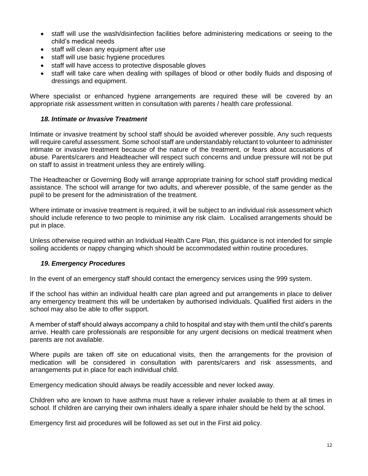- staff will use the wash/disinfection facilities before administering medications or seeing to the child's medical needs
- staff will clean any equipment after use
- staff will use basic hygiene procedures
- staff will have access to protective disposable gloves
- staff will take care when dealing with spillages of blood or other bodily fluids and disposing of dressings and equipment.

Where specialist or enhanced hygiene arrangements are required these will be covered by an appropriate risk assessment written in consultation with parents / health care professional.

#### *18. Intimate or Invasive Treatment*

Intimate or invasive treatment by school staff should be avoided wherever possible. Any such requests will require careful assessment. Some school staff are understandably reluctant to volunteer to administer intimate or invasive treatment because of the nature of the treatment, or fears about accusations of abuse. Parents/carers and Headteacher will respect such concerns and undue pressure will not be put on staff to assist in treatment unless they are entirely willing.

The Headteacher or Governing Body will arrange appropriate training for school staff providing medical assistance. The school will arrange for two adults, and wherever possible, of the same gender as the pupil to be present for the administration of the treatment.

Where intimate or invasive treatment is required, it will be subject to an individual risk assessment which should include reference to two people to minimise any risk claim. Localised arrangements should be put in place.

Unless otherwise required within an Individual Health Care Plan, this guidance is not intended for simple soiling accidents or nappy changing which should be accommodated within routine procedures.

#### *19. Emergency Procedures*

In the event of an emergency staff should contact the emergency services using the 999 system.

If the school has within an individual health care plan agreed and put arrangements in place to deliver any emergency treatment this will be undertaken by authorised individuals. Qualified first aiders in the school may also be able to offer support.

A member of staff should always accompany a child to hospital and stay with them until the child's parents arrive. Health care professionals are responsible for any urgent decisions on medical treatment when parents are not available.

Where pupils are taken off site on educational visits, then the arrangements for the provision of medication will be considered in consultation with parents/carers and risk assessments, and arrangements put in place for each individual child.

Emergency medication should always be readily accessible and never locked away.

Children who are known to have asthma must have a reliever inhaler available to them at all times in school. If children are carrying their own inhalers ideally a spare inhaler should be held by the school.

Emergency first aid procedures will be followed as set out in the First aid policy.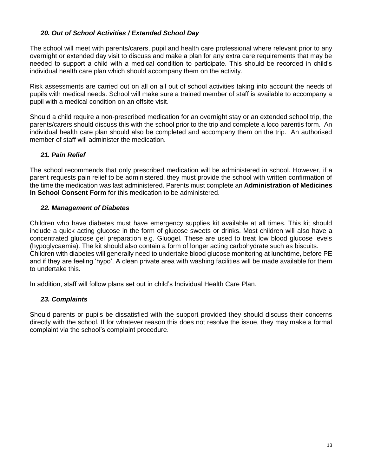#### *20. Out of School Activities / Extended School Day*

The school will meet with parents/carers, pupil and health care professional where relevant prior to any overnight or extended day visit to discuss and make a plan for any extra care requirements that may be needed to support a child with a medical condition to participate. This should be recorded in child's individual health care plan which should accompany them on the activity.

Risk assessments are carried out on all on all out of school activities taking into account the needs of pupils with medical needs. School will make sure a trained member of staff is available to accompany a pupil with a medical condition on an offsite visit.

Should a child require a non-prescribed medication for an overnight stay or an extended school trip, the parents/carers should discuss this with the school prior to the trip and complete a loco parentis form. An individual health care plan should also be completed and accompany them on the trip. An authorised member of staff will administer the medication.

#### *21. Pain Relief*

The school recommends that only prescribed medication will be administered in school. However, if a parent requests pain relief to be administered, they must provide the school with written confirmation of the time the medication was last administered. Parents must complete an **Administration of Medicines in School Consent Form** for this medication to be administered.

#### *22. Management of Diabetes*

Children who have diabetes must have emergency supplies kit available at all times. This kit should include a quick acting glucose in the form of glucose sweets or drinks. Most children will also have a concentrated glucose gel preparation e.g. Gluogel. These are used to treat low blood glucose levels (hypoglycaemia). The kit should also contain a form of longer acting carbohydrate such as biscuits. Children with diabetes will generally need to undertake blood glucose monitoring at lunchtime, before PE and if they are feeling 'hypo'. A clean private area with washing facilities will be made available for them to undertake this.

In addition, staff will follow plans set out in child's Individual Health Care Plan.

#### *23. Complaints*

Should parents or pupils be dissatisfied with the support provided they should discuss their concerns directly with the school. If for whatever reason this does not resolve the issue, they may make a formal complaint via the school's complaint procedure.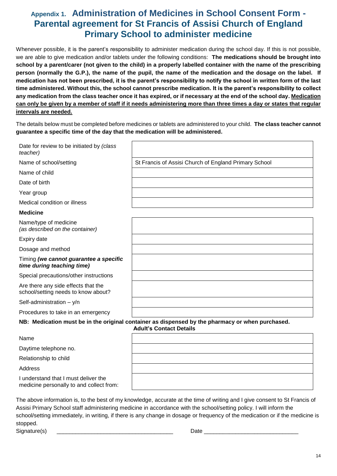### **Appendix 1. Administration of Medicines in School Consent Form - Parental agreement for St Francis of Assisi Church of England Primary School to administer medicine**

Whenever possible, it is the parent's responsibility to administer medication during the school day. If this is not possible, we are able to give medication and/or tablets under the following conditions: **The medications should be brought into school by a parent/carer (not given to the child) in a properly labelled container with the name of the prescribing person (normally the G.P.), the name of the pupil, the name of the medication and the dosage on the label. If medication has not been prescribed, it is the parent's responsibility to notify the school in written form of the last time administered. Without this, the school cannot prescribe medication. It is the parent's responsibility to collect any medication from the class teacher once it has expired, or if necessary at the end of the school day. Medication can only be given by a member of staff if it needs administering more than three times a day or states that regular intervals are needed.**

The details below must be completed before medicines or tablets are administered to your child. **The class teacher cannot guarantee a specific time of the day that the medication will be administered.** 

| Date for review to be initiated by (class<br>teacher)                      |                                                                                                                                    |
|----------------------------------------------------------------------------|------------------------------------------------------------------------------------------------------------------------------------|
| Name of school/setting                                                     | St Francis of Assisi Church of England Primary School                                                                              |
| Name of child                                                              |                                                                                                                                    |
| Date of birth                                                              |                                                                                                                                    |
| Year group                                                                 |                                                                                                                                    |
| Medical condition or illness                                               |                                                                                                                                    |
| <b>Medicine</b>                                                            |                                                                                                                                    |
| Name/type of medicine<br>(as described on the container)                   |                                                                                                                                    |
| Expiry date                                                                |                                                                                                                                    |
| Dosage and method                                                          |                                                                                                                                    |
| Timing (we cannot guarantee a specific<br>time during teaching time)       |                                                                                                                                    |
| Special precautions/other instructions                                     |                                                                                                                                    |
| Are there any side effects that the<br>school/setting needs to know about? |                                                                                                                                    |
| Self-administration $- y/n$                                                |                                                                                                                                    |
| Procedures to take in an emergency                                         |                                                                                                                                    |
|                                                                            | NB: Medication must be in the original container as dispensed by the pharmacy or when purchased.<br><b>Adult's Contact Details</b> |
| Name                                                                       |                                                                                                                                    |
| Daytime telephone no.                                                      |                                                                                                                                    |
| Relationship to child                                                      |                                                                                                                                    |
| Address                                                                    |                                                                                                                                    |
| I understand that I must deliver the                                       |                                                                                                                                    |

The above information is, to the best of my knowledge, accurate at the time of writing and I give consent to St Francis of Assisi Primary School staff administering medicine in accordance with the school/setting policy. I will inform the school/setting immediately, in writing, if there is any change in dosage or frequency of the medication or if the medicine is stopped.

Signature(s) \_\_\_\_\_\_\_\_\_\_\_\_\_\_\_\_\_\_\_\_\_\_\_\_\_\_\_\_\_\_\_\_\_\_\_\_\_ Date \_\_\_\_\_\_\_\_\_\_\_\_\_\_\_\_\_\_\_\_\_\_\_\_\_\_\_\_\_\_

medicine personally to and collect from: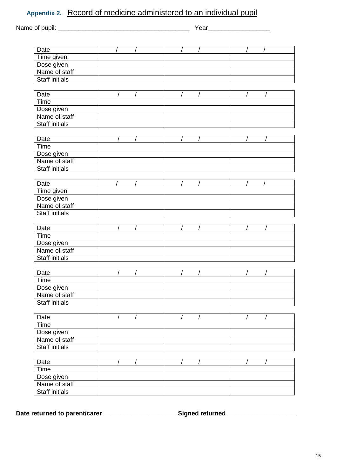| Date                  | $\sqrt{2}$ |            | $\sqrt{ }$ |                | $\sqrt{ }$ |  |
|-----------------------|------------|------------|------------|----------------|------------|--|
| Time given            |            |            |            |                |            |  |
| Dose given            |            |            |            |                |            |  |
| Name of staff         |            |            |            |                |            |  |
| <b>Staff initials</b> |            |            |            |                |            |  |
| Date                  | $\sqrt{ }$ |            | $\bar{U}$  | $\prime$       |            |  |
| Time                  |            |            |            |                |            |  |
| Dose given            |            |            |            |                |            |  |
| Name of staff         |            |            |            |                |            |  |
| <b>Staff initials</b> |            |            |            |                |            |  |
| Date                  | $\sqrt{ }$ | $\sqrt{ }$ | $\sqrt{ }$ | $\overline{1}$ |            |  |
| Time                  |            |            |            |                |            |  |
| Dose given            |            |            |            |                |            |  |
| Name of staff         |            |            |            |                |            |  |
| <b>Staff initials</b> |            |            |            |                |            |  |
| Date                  |            |            | $\sqrt{2}$ |                |            |  |
| Time given            |            |            |            |                |            |  |
| Dose given            |            |            |            |                |            |  |
| Name of staff         |            |            |            |                |            |  |
| <b>Staff initials</b> |            |            |            |                |            |  |
| Date                  |            |            |            |                |            |  |
| Time                  |            |            |            |                |            |  |
| Dose given            |            |            |            |                |            |  |
| Name of staff         |            |            |            |                |            |  |
| <b>Staff initials</b> |            |            |            |                |            |  |
| Date                  |            |            | T          |                | $\prime$   |  |
| Time                  |            |            |            |                |            |  |
| Dose given            |            |            |            |                |            |  |
| Name of staff         |            |            |            |                |            |  |
| <b>Staff initials</b> |            |            |            |                |            |  |
| Date                  |            |            |            |                |            |  |
| Time                  |            |            |            |                |            |  |
| Dose given            |            |            |            |                |            |  |
| Name of staff         |            |            |            |                |            |  |
| <b>Staff initials</b> |            |            |            |                |            |  |
| Date                  |            |            |            |                |            |  |
| Time                  |            |            |            |                |            |  |
|                       |            |            |            |                |            |  |
| Dose given            |            |            |            |                |            |  |

Date returned to parent/carer \_\_\_\_\_\_\_\_\_\_\_\_\_\_\_\_\_\_\_\_\_\_\_\_\_\_\_\_\_Signed returned \_\_\_\_\_\_\_\_\_\_\_\_\_\_\_\_\_\_\_\_\_\_\_\_\_\_\_\_\_\_\_\_\_\_\_

Name of staff **Staff initials**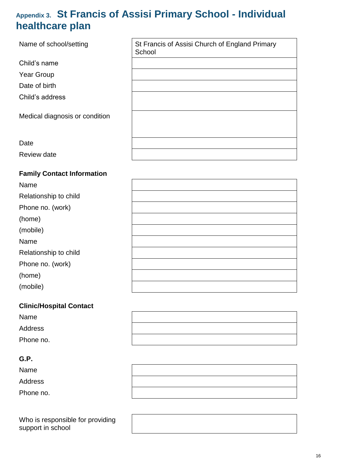### **Appendix 3. St Francis of Assisi Primary School - Individual healthcare plan**

Name of school/setting St Francis of Assisi Church of England Primary **School** Child's name Year Group Date of birth Child's address Medical diagnosis or condition Review date

#### **Family Contact Information**

**Date** 

| Name                  |  |
|-----------------------|--|
| Relationship to child |  |
| Phone no. (work)      |  |
| (home)                |  |
| (mobile)              |  |
| Name                  |  |
| Relationship to child |  |
| Phone no. (work)      |  |
| (home)                |  |
| (mobile)              |  |

#### **Clinic/Hospital Contact**

| Name      |  |
|-----------|--|
| Address   |  |
| Phone no. |  |

#### **G.P.**

Name Address Phone no.

Who is responsible for providing support in school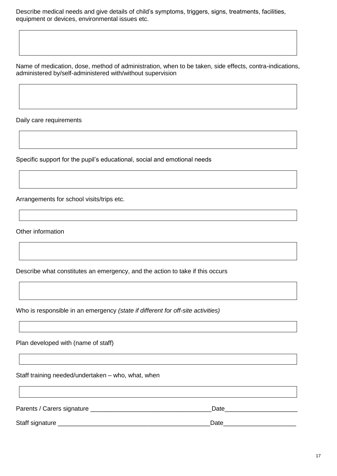Describe medical needs and give details of child's symptoms, triggers, signs, treatments, facilities, equipment or devices, environmental issues etc.

Name of medication, dose, method of administration, when to be taken, side effects, contra-indications, administered by/self-administered with/without supervision

Daily care requirements

Specific support for the pupil's educational, social and emotional needs

Arrangements for school visits/trips etc.

Other information

Describe what constitutes an emergency, and the action to take if this occurs

Who is responsible in an emergency *(state if different for off-site activities)*

Plan developed with (name of staff)

Staff training needed/undertaken – who, what, when

| Parents / Carers signature | Date |
|----------------------------|------|
| Staff signature            | Date |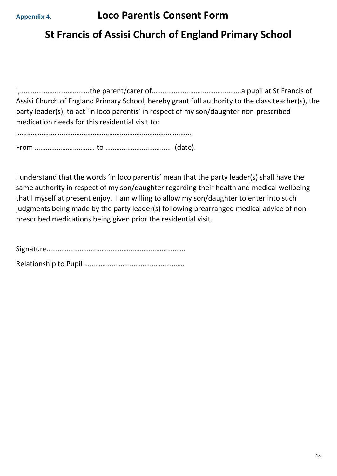### **St Francis of Assisi Church of England Primary School**

I,………………………………..the parent/carer of………………………………………….a pupil at St Francis of Assisi Church of England Primary School, hereby grant full authority to the class teacher(s), the party leader(s), to act 'in loco parentis' in respect of my son/daughter non-prescribed medication needs for this residential visit to:

…………………………………………………………………………………….

From …………………………… to ………………………………. (date).

I understand that the words 'in loco parentis' mean that the party leader(s) shall have the same authority in respect of my son/daughter regarding their health and medical wellbeing that I myself at present enjoy. I am willing to allow my son/daughter to enter into such judgments being made by the party leader(s) following prearranged medical advice of nonprescribed medications being given prior the residential visit.

Signature…………………………………………………………………. Relationship to Pupil ……………………………………………….